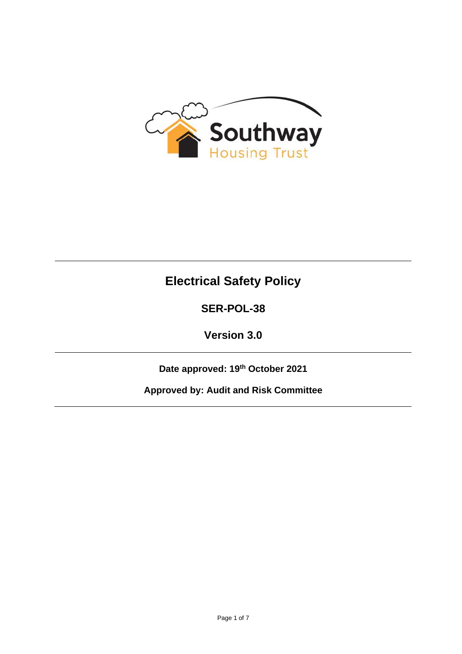

# **Electrical Safety Policy**

# **SER-POL-38**

**Version 3.0**

**Date approved: 19th October 2021**

**Approved by: Audit and Risk Committee**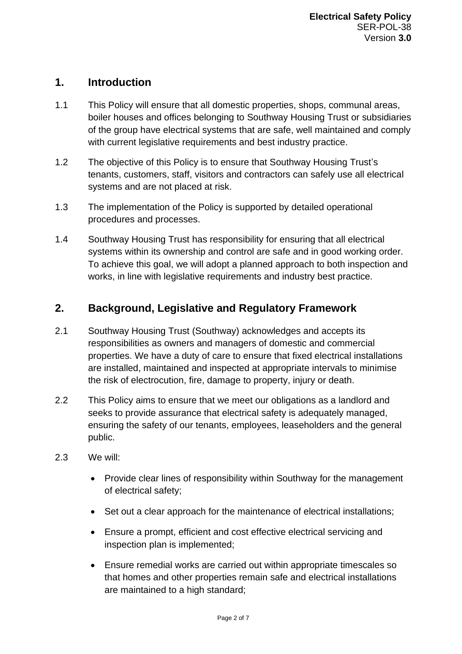## **1. Introduction**

- 1.1 This Policy will ensure that all domestic properties, shops, communal areas, boiler houses and offices belonging to Southway Housing Trust or subsidiaries of the group have electrical systems that are safe, well maintained and comply with current legislative requirements and best industry practice.
- 1.2 The objective of this Policy is to ensure that Southway Housing Trust's tenants, customers, staff, visitors and contractors can safely use all electrical systems and are not placed at risk.
- 1.3 The implementation of the Policy is supported by detailed operational procedures and processes.
- 1.4 Southway Housing Trust has responsibility for ensuring that all electrical systems within its ownership and control are safe and in good working order. To achieve this goal, we will adopt a planned approach to both inspection and works, in line with legislative requirements and industry best practice.

# **2. Background, Legislative and Regulatory Framework**

- 2.1 Southway Housing Trust (Southway) acknowledges and accepts its responsibilities as owners and managers of domestic and commercial properties. We have a duty of care to ensure that fixed electrical installations are installed, maintained and inspected at appropriate intervals to minimise the risk of electrocution, fire, damage to property, injury or death.
- 2.2 This Policy aims to ensure that we meet our obligations as a landlord and seeks to provide assurance that electrical safety is adequately managed, ensuring the safety of our tenants, employees, leaseholders and the general public.
- 2.3 We will:
	- Provide clear lines of responsibility within Southway for the management of electrical safety;
	- Set out a clear approach for the maintenance of electrical installations;
	- Ensure a prompt, efficient and cost effective electrical servicing and inspection plan is implemented;
	- Ensure remedial works are carried out within appropriate timescales so that homes and other properties remain safe and electrical installations are maintained to a high standard;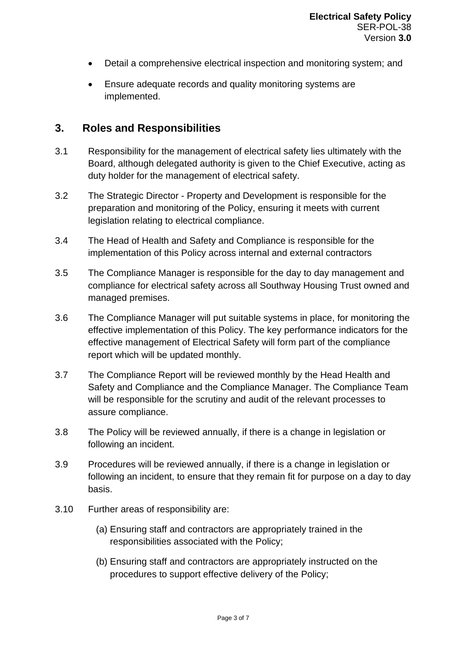- Detail a comprehensive electrical inspection and monitoring system; and
- Ensure adequate records and quality monitoring systems are implemented.

#### **3. Roles and Responsibilities**

- 3.1 Responsibility for the management of electrical safety lies ultimately with the Board, although delegated authority is given to the Chief Executive, acting as duty holder for the management of electrical safety.
- 3.2 The Strategic Director Property and Development is responsible for the preparation and monitoring of the Policy, ensuring it meets with current legislation relating to electrical compliance.
- 3.4 The Head of Health and Safety and Compliance is responsible for the implementation of this Policy across internal and external contractors
- 3.5 The Compliance Manager is responsible for the day to day management and compliance for electrical safety across all Southway Housing Trust owned and managed premises.
- 3.6 The Compliance Manager will put suitable systems in place, for monitoring the effective implementation of this Policy. The key performance indicators for the effective management of Electrical Safety will form part of the compliance report which will be updated monthly.
- 3.7 The Compliance Report will be reviewed monthly by the Head Health and Safety and Compliance and the Compliance Manager. The Compliance Team will be responsible for the scrutiny and audit of the relevant processes to assure compliance.
- 3.8 The Policy will be reviewed annually, if there is a change in legislation or following an incident.
- 3.9 Procedures will be reviewed annually, if there is a change in legislation or following an incident, to ensure that they remain fit for purpose on a day to day basis.
- 3.10 Further areas of responsibility are:
	- (a) Ensuring staff and contractors are appropriately trained in the responsibilities associated with the Policy;
	- (b) Ensuring staff and contractors are appropriately instructed on the procedures to support effective delivery of the Policy;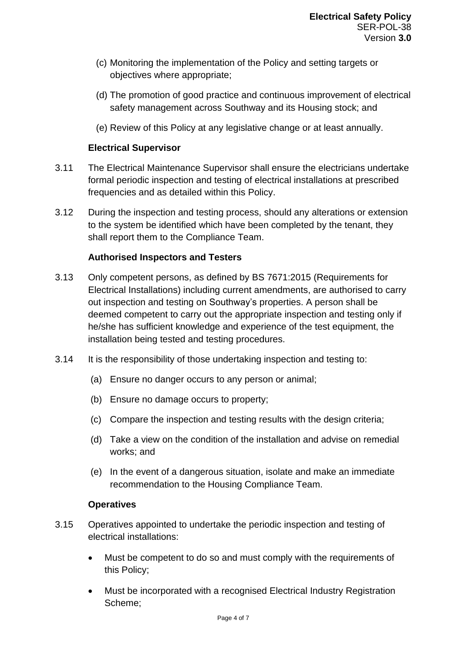- (c) Monitoring the implementation of the Policy and setting targets or objectives where appropriate;
- (d) The promotion of good practice and continuous improvement of electrical safety management across Southway and its Housing stock; and
- (e) Review of this Policy at any legislative change or at least annually.

#### **Electrical Supervisor**

- 3.11 The Electrical Maintenance Supervisor shall ensure the electricians undertake formal periodic inspection and testing of electrical installations at prescribed frequencies and as detailed within this Policy.
- 3.12 During the inspection and testing process, should any alterations or extension to the system be identified which have been completed by the tenant, they shall report them to the Compliance Team.

#### **Authorised Inspectors and Testers**

- 3.13 Only competent persons, as defined by BS 7671:2015 (Requirements for Electrical Installations) including current amendments, are authorised to carry out inspection and testing on Southway's properties. A person shall be deemed competent to carry out the appropriate inspection and testing only if he/she has sufficient knowledge and experience of the test equipment, the installation being tested and testing procedures.
- 3.14 It is the responsibility of those undertaking inspection and testing to:
	- (a) Ensure no danger occurs to any person or animal;
	- (b) Ensure no damage occurs to property;
	- (c) Compare the inspection and testing results with the design criteria;
	- (d) Take a view on the condition of the installation and advise on remedial works; and
	- (e) In the event of a dangerous situation, isolate and make an immediate recommendation to the Housing Compliance Team.

#### **Operatives**

- 3.15 Operatives appointed to undertake the periodic inspection and testing of electrical installations:
	- Must be competent to do so and must comply with the requirements of this Policy;
	- Must be incorporated with a recognised Electrical Industry Registration Scheme;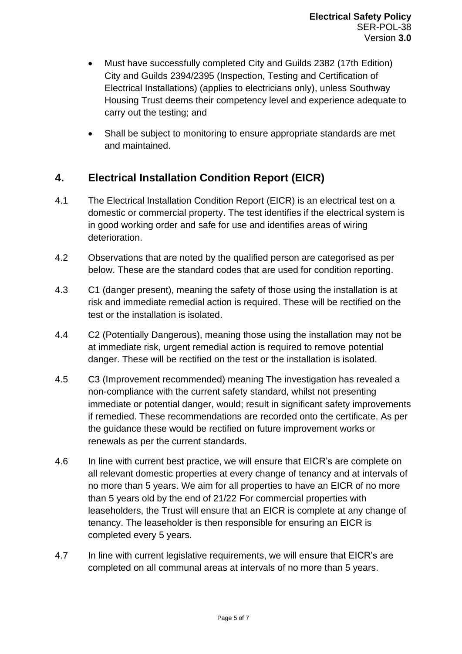- Must have successfully completed City and Guilds 2382 (17th Edition) City and Guilds 2394/2395 (Inspection, Testing and Certification of Electrical Installations) (applies to electricians only), unless Southway Housing Trust deems their competency level and experience adequate to carry out the testing; and
- Shall be subject to monitoring to ensure appropriate standards are met and maintained.

# **4. Electrical Installation Condition Report (EICR)**

- 4.1 The Electrical Installation Condition Report (EICR) is an electrical test on a domestic or commercial property. The test identifies if the electrical system is in good working order and safe for use and identifies areas of wiring deterioration.
- 4.2 Observations that are noted by the qualified person are categorised as per below. These are the standard codes that are used for condition reporting.
- 4.3 C1 (danger present), meaning the safety of those using the installation is at risk and immediate remedial action is required. These will be rectified on the test or the installation is isolated.
- 4.4 C2 (Potentially Dangerous), meaning those using the installation may not be at immediate risk, urgent remedial action is required to remove potential danger. These will be rectified on the test or the installation is isolated.
- 4.5 C3 (Improvement recommended) meaning The investigation has revealed a non-compliance with the current safety standard, whilst not presenting immediate or potential danger, would; result in significant safety improvements if remedied. These recommendations are recorded onto the certificate. As per the guidance these would be rectified on future improvement works or renewals as per the current standards.
- 4.6 In line with current best practice, we will ensure that EICR's are complete on all relevant domestic properties at every change of tenancy and at intervals of no more than 5 years. We aim for all properties to have an EICR of no more than 5 years old by the end of 21/22 For commercial properties with leaseholders, the Trust will ensure that an EICR is complete at any change of tenancy. The leaseholder is then responsible for ensuring an EICR is completed every 5 years.
- 4.7 In line with current legislative requirements, we will ensure that EICR's are completed on all communal areas at intervals of no more than 5 years.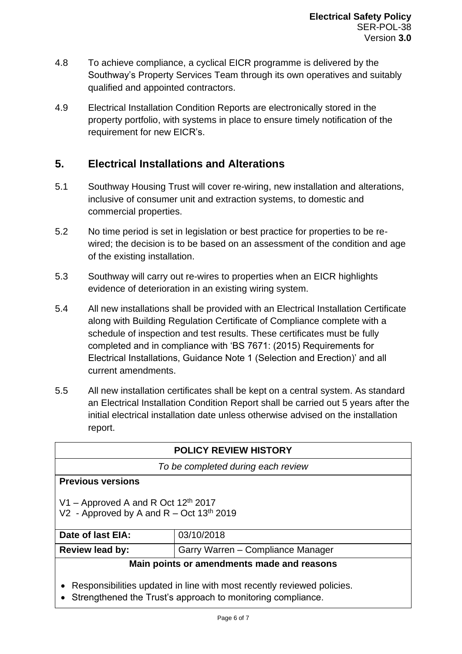- 4.8 To achieve compliance, a cyclical EICR programme is delivered by the Southway's Property Services Team through its own operatives and suitably qualified and appointed contractors.
- 4.9 Electrical Installation Condition Reports are electronically stored in the property portfolio, with systems in place to ensure timely notification of the requirement for new EICR's.

## **5. Electrical Installations and Alterations**

- 5.1 Southway Housing Trust will cover re-wiring, new installation and alterations, inclusive of consumer unit and extraction systems, to domestic and commercial properties.
- 5.2 No time period is set in legislation or best practice for properties to be rewired; the decision is to be based on an assessment of the condition and age of the existing installation.
- 5.3 Southway will carry out re-wires to properties when an EICR highlights evidence of deterioration in an existing wiring system.
- 5.4 All new installations shall be provided with an Electrical Installation Certificate along with Building Regulation Certificate of Compliance complete with a schedule of inspection and test results. These certificates must be fully completed and in compliance with 'BS 7671: (2015) Requirements for Electrical Installations, Guidance Note 1 (Selection and Erection)' and all current amendments.
- 5.5 All new installation certificates shall be kept on a central system. As standard an Electrical Installation Condition Report shall be carried out 5 years after the initial electrical installation date unless otherwise advised on the installation report.

| <b>POLICY REVIEW HISTORY</b>                                                        |                                   |  |
|-------------------------------------------------------------------------------------|-----------------------------------|--|
| To be completed during each review                                                  |                                   |  |
| <b>Previous versions</b>                                                            |                                   |  |
| V1 – Approved A and R Oct $12th$ 2017<br>V2 - Approved by A and $R - Oct 13th 2019$ |                                   |  |
| Date of last EIA:                                                                   | 03/10/2018                        |  |
| <b>Review lead by:</b>                                                              | Garry Warren - Compliance Manager |  |
| Main points or amendments made and reasons                                          |                                   |  |
| Responsibilities updated in line with most recently reviewed policies.              |                                   |  |

• Strengthened the Trust's approach to monitoring compliance.